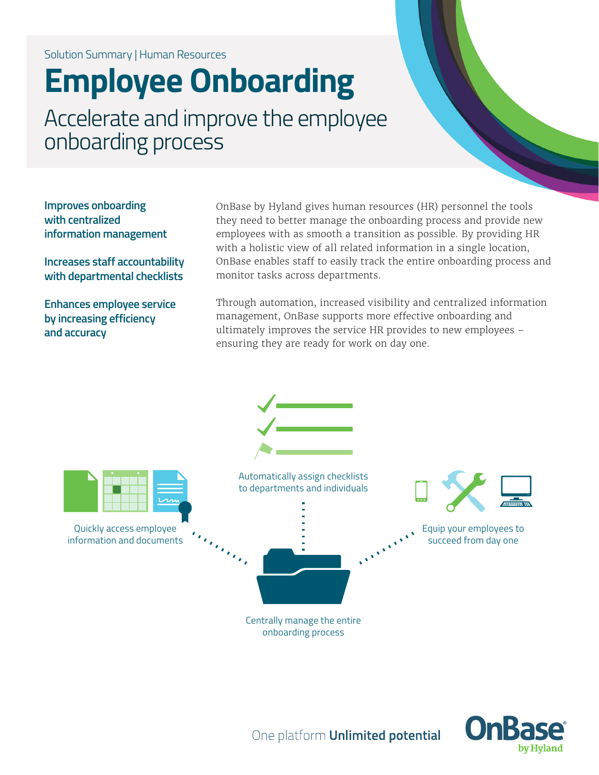## Solution Summary | Human Resources

# **Employee Onboarding**

Accelerate and improve the employee onboarding process

**Improves onboarding with centralized information management** 

**Increases staff accountability with departmental checklists**

**Enhances employee service by increasing efficiency and accuracy**

OnBase by Hyland gives human resources (HR) personnel the tools they need to better manage the onboarding process and provide new employees with as smooth a transition as possible. By providing HR with a holistic view of all related information in a single location, OnBase enables staff to easily track the entire onboarding process and monitor tasks across departments.

Through automation, increased visibility and centralized information management, OnBase supports more effective onboarding and ultimately improves the service HR provides to new employees – ensuring they are ready for work on day one.





One platform **Unlimited potential**